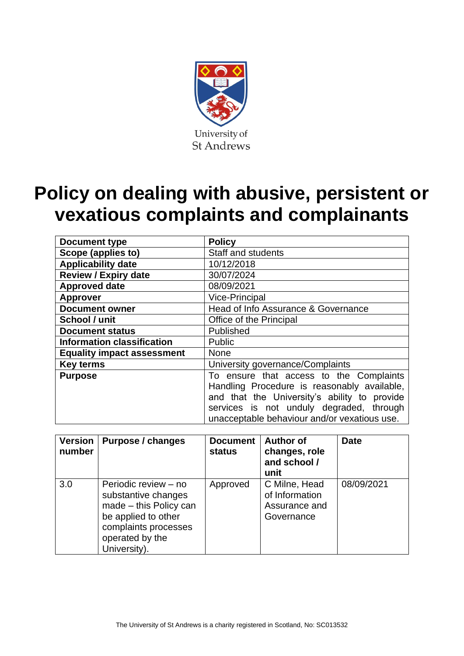

# **Policy on dealing with abusive, persistent or vexatious complaints and complainants**

| <b>Document type</b>              | <b>Policy</b>                                                                                                                                                                                                                      |  |  |
|-----------------------------------|------------------------------------------------------------------------------------------------------------------------------------------------------------------------------------------------------------------------------------|--|--|
| Scope (applies to)                | <b>Staff and students</b>                                                                                                                                                                                                          |  |  |
| <b>Applicability date</b>         | 10/12/2018                                                                                                                                                                                                                         |  |  |
| <b>Review / Expiry date</b>       | 30/07/2024                                                                                                                                                                                                                         |  |  |
| <b>Approved date</b>              | 08/09/2021                                                                                                                                                                                                                         |  |  |
| <b>Approver</b>                   | <b>Vice-Principal</b>                                                                                                                                                                                                              |  |  |
| <b>Document owner</b>             | Head of Info Assurance & Governance                                                                                                                                                                                                |  |  |
| School / unit                     | Office of the Principal                                                                                                                                                                                                            |  |  |
| <b>Document status</b>            | Published                                                                                                                                                                                                                          |  |  |
| <b>Information classification</b> | <b>Public</b>                                                                                                                                                                                                                      |  |  |
| <b>Equality impact assessment</b> | <b>None</b>                                                                                                                                                                                                                        |  |  |
| <b>Key terms</b>                  | University governance/Complaints                                                                                                                                                                                                   |  |  |
| <b>Purpose</b>                    | To ensure that access to the Complaints<br>Handling Procedure is reasonably available,<br>and that the University's ability to provide<br>services is not unduly degraded, through<br>unacceptable behaviour and/or vexatious use. |  |  |

| <b>Version</b><br>number | Purpose / changes                                                                                                                                       | <b>Document</b><br><b>status</b> | <b>Author of</b><br>changes, role<br>and school /<br>unit      | <b>Date</b> |
|--------------------------|---------------------------------------------------------------------------------------------------------------------------------------------------------|----------------------------------|----------------------------------------------------------------|-------------|
| 3.0                      | Periodic review - no<br>substantive changes<br>made - this Policy can<br>be applied to other<br>complaints processes<br>operated by the<br>University). | Approved                         | C Milne, Head<br>of Information<br>Assurance and<br>Governance | 08/09/2021  |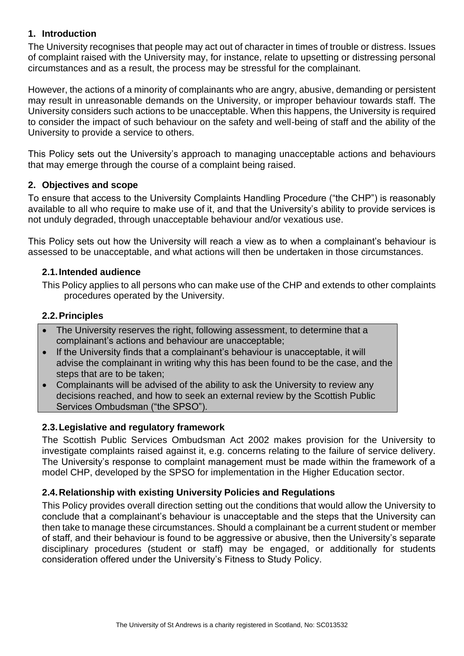## **1. Introduction**

The University recognises that people may act out of character in times of trouble or distress. Issues of complaint raised with the University may, for instance, relate to upsetting or distressing personal circumstances and as a result, the process may be stressful for the complainant.

However, the actions of a minority of complainants who are angry, abusive, demanding or persistent may result in unreasonable demands on the University, or improper behaviour towards staff. The University considers such actions to be unacceptable. When this happens, the University is required to consider the impact of such behaviour on the safety and well-being of staff and the ability of the University to provide a service to others.

This Policy sets out the University's approach to managing unacceptable actions and behaviours that may emerge through the course of a complaint being raised.

### **2. Objectives and scope**

To ensure that access to the University Complaints Handling Procedure ("the CHP") is reasonably available to all who require to make use of it, and that the University's ability to provide services is not unduly degraded, through unacceptable behaviour and/or vexatious use.

This Policy sets out how the University will reach a view as to when a complainant's behaviour is assessed to be unacceptable, and what actions will then be undertaken in those circumstances.

### **2.1.Intended audience**

This Policy applies to all persons who can make use of the CHP and extends to other complaints procedures operated by the University.

### **2.2.Principles**

- The University reserves the right, following assessment, to determine that a complainant's actions and behaviour are unacceptable;
- If the University finds that a complainant's behaviour is unacceptable, it will advise the complainant in writing why this has been found to be the case, and the steps that are to be taken;
- Complainants will be advised of the ability to ask the University to review any decisions reached, and how to seek an external review by the Scottish Public Services Ombudsman ("the SPSO").

### **2.3.Legislative and regulatory framework**

The Scottish Public Services Ombudsman Act 2002 makes provision for the University to investigate complaints raised against it, e.g. concerns relating to the failure of service delivery. The University's response to complaint management must be made within the framework of a model CHP, developed by the SPSO for implementation in the Higher Education sector.

### **2.4.Relationship with existing University Policies and Regulations**

This Policy provides overall direction setting out the conditions that would allow the University to conclude that a complainant's behaviour is unacceptable and the steps that the University can then take to manage these circumstances. Should a complainant be a current student or member of staff, and their behaviour is found to be aggressive or abusive, then the University's separate disciplinary procedures (student or staff) may be engaged, or additionally for students consideration offered under the University's Fitness to Study Policy.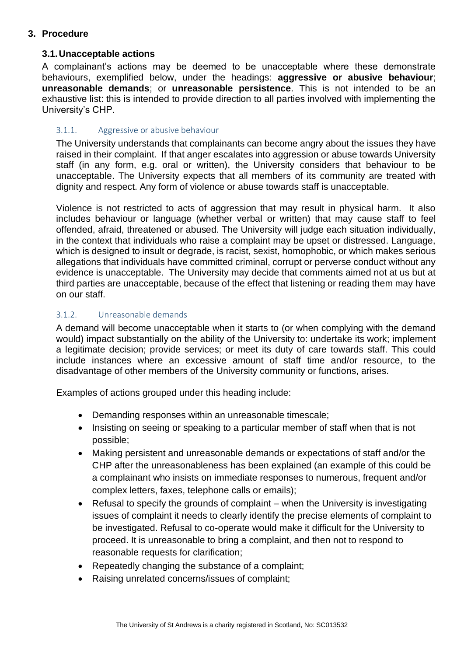## **3. Procedure**

### **3.1.Unacceptable actions**

A complainant's actions may be deemed to be unacceptable where these demonstrate behaviours, exemplified below, under the headings: **aggressive or abusive behaviour**; **unreasonable demands**; or **unreasonable persistence**. This is not intended to be an exhaustive list: this is intended to provide direction to all parties involved with implementing the University's CHP.

#### 3.1.1. Aggressive or abusive behaviour

The University understands that complainants can become angry about the issues they have raised in their complaint. If that anger escalates into aggression or abuse towards University staff (in any form, e.g. oral or written), the University considers that behaviour to be unacceptable. The University expects that all members of its community are treated with dignity and respect. Any form of violence or abuse towards staff is unacceptable.

Violence is not restricted to acts of aggression that may result in physical harm. It also includes behaviour or language (whether verbal or written) that may cause staff to feel offended, afraid, threatened or abused. The University will judge each situation individually, in the context that individuals who raise a complaint may be upset or distressed. Language, which is designed to insult or degrade, is racist, sexist, homophobic, or which makes serious allegations that individuals have committed criminal, corrupt or perverse conduct without any evidence is unacceptable. The University may decide that comments aimed not at us but at third parties are unacceptable, because of the effect that listening or reading them may have on our staff.

### 3.1.2. Unreasonable demands

A demand will become unacceptable when it starts to (or when complying with the demand would) impact substantially on the ability of the University to: undertake its work; implement a legitimate decision; provide services; or meet its duty of care towards staff. This could include instances where an excessive amount of staff time and/or resource, to the disadvantage of other members of the University community or functions, arises.

Examples of actions grouped under this heading include:

- Demanding responses within an unreasonable timescale;
- Insisting on seeing or speaking to a particular member of staff when that is not possible;
- Making persistent and unreasonable demands or expectations of staff and/or the CHP after the unreasonableness has been explained (an example of this could be a complainant who insists on immediate responses to numerous, frequent and/or complex letters, faxes, telephone calls or emails);
- Refusal to specify the grounds of complaint when the University is investigating issues of complaint it needs to clearly identify the precise elements of complaint to be investigated. Refusal to co-operate would make it difficult for the University to proceed. It is unreasonable to bring a complaint, and then not to respond to reasonable requests for clarification;
- Repeatedly changing the substance of a complaint;
- Raising unrelated concerns/issues of complaint;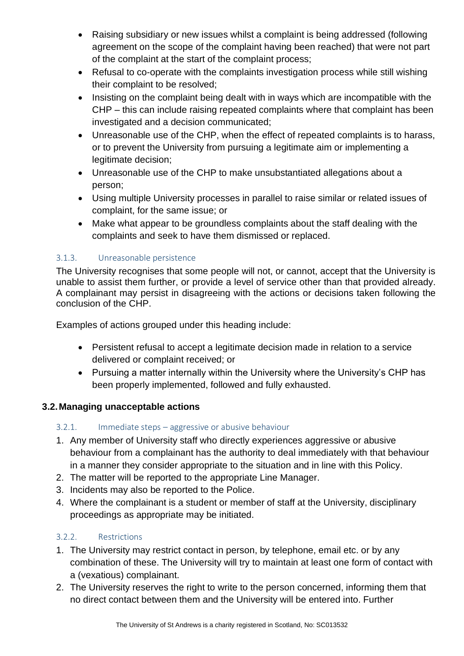- Raising subsidiary or new issues whilst a complaint is being addressed (following agreement on the scope of the complaint having been reached) that were not part of the complaint at the start of the complaint process;
- Refusal to co-operate with the complaints investigation process while still wishing their complaint to be resolved;
- Insisting on the complaint being dealt with in ways which are incompatible with the CHP – this can include raising repeated complaints where that complaint has been investigated and a decision communicated;
- Unreasonable use of the CHP, when the effect of repeated complaints is to harass, or to prevent the University from pursuing a legitimate aim or implementing a legitimate decision;
- Unreasonable use of the CHP to make unsubstantiated allegations about a person;
- Using multiple University processes in parallel to raise similar or related issues of complaint, for the same issue; or
- Make what appear to be groundless complaints about the staff dealing with the complaints and seek to have them dismissed or replaced.

# 3.1.3. Unreasonable persistence

The University recognises that some people will not, or cannot, accept that the University is unable to assist them further, or provide a level of service other than that provided already. A complainant may persist in disagreeing with the actions or decisions taken following the conclusion of the CHP.

Examples of actions grouped under this heading include:

- Persistent refusal to accept a legitimate decision made in relation to a service delivered or complaint received; or
- Pursuing a matter internally within the University where the University's CHP has been properly implemented, followed and fully exhausted.

# **3.2.Managing unacceptable actions**

# 3.2.1. Immediate steps – aggressive or abusive behaviour

- 1. Any member of University staff who directly experiences aggressive or abusive behaviour from a complainant has the authority to deal immediately with that behaviour in a manner they consider appropriate to the situation and in line with this Policy.
- 2. The matter will be reported to the appropriate Line Manager.
- 3. Incidents may also be reported to the Police.
- 4. Where the complainant is a student or member of staff at the University, disciplinary proceedings as appropriate may be initiated.

# 3.2.2. Restrictions

- 1. The University may restrict contact in person, by telephone, email etc. or by any combination of these. The University will try to maintain at least one form of contact with a (vexatious) complainant.
- 2. The University reserves the right to write to the person concerned, informing them that no direct contact between them and the University will be entered into. Further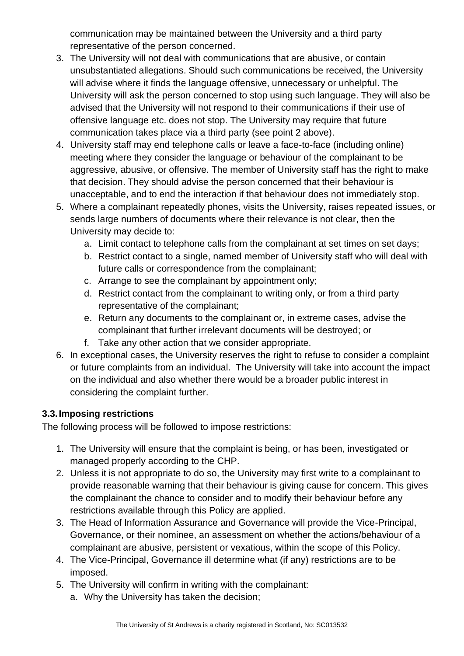communication may be maintained between the University and a third party representative of the person concerned.

- 3. The University will not deal with communications that are abusive, or contain unsubstantiated allegations. Should such communications be received, the University will advise where it finds the language offensive, unnecessary or unhelpful. The University will ask the person concerned to stop using such language. They will also be advised that the University will not respond to their communications if their use of offensive language etc. does not stop. The University may require that future communication takes place via a third party (see point 2 above).
- 4. University staff may end telephone calls or leave a face-to-face (including online) meeting where they consider the language or behaviour of the complainant to be aggressive, abusive, or offensive. The member of University staff has the right to make that decision. They should advise the person concerned that their behaviour is unacceptable, and to end the interaction if that behaviour does not immediately stop.
- 5. Where a complainant repeatedly phones, visits the University, raises repeated issues, or sends large numbers of documents where their relevance is not clear, then the University may decide to:
	- a. Limit contact to telephone calls from the complainant at set times on set days;
	- b. Restrict contact to a single, named member of University staff who will deal with future calls or correspondence from the complainant;
	- c. Arrange to see the complainant by appointment only;
	- d. Restrict contact from the complainant to writing only, or from a third party representative of the complainant;
	- e. Return any documents to the complainant or, in extreme cases, advise the complainant that further irrelevant documents will be destroyed; or
	- f. Take any other action that we consider appropriate.
- 6. In exceptional cases, the University reserves the right to refuse to consider a complaint or future complaints from an individual. The University will take into account the impact on the individual and also whether there would be a broader public interest in considering the complaint further.

# **3.3.Imposing restrictions**

The following process will be followed to impose restrictions:

- 1. The University will ensure that the complaint is being, or has been, investigated or managed properly according to the CHP.
- 2. Unless it is not appropriate to do so, the University may first write to a complainant to provide reasonable warning that their behaviour is giving cause for concern. This gives the complainant the chance to consider and to modify their behaviour before any restrictions available through this Policy are applied.
- 3. The Head of Information Assurance and Governance will provide the Vice-Principal, Governance, or their nominee, an assessment on whether the actions/behaviour of a complainant are abusive, persistent or vexatious, within the scope of this Policy.
- 4. The Vice-Principal, Governance ill determine what (if any) restrictions are to be imposed.
- 5. The University will confirm in writing with the complainant:
	- a. Why the University has taken the decision;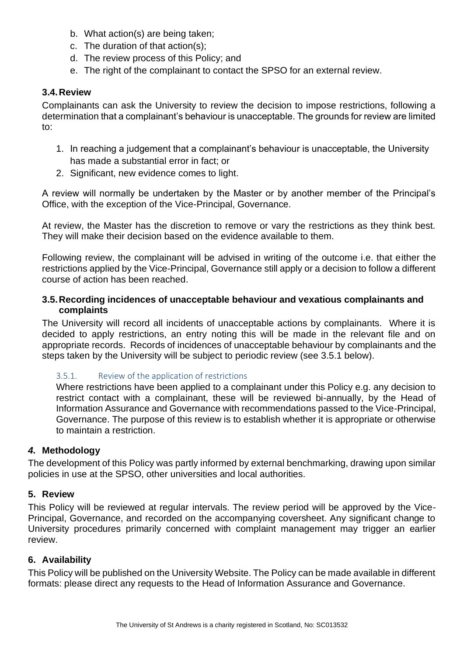- b. What action(s) are being taken;
- c. The duration of that action(s);
- d. The review process of this Policy; and
- e. The right of the complainant to contact the SPSO for an external review.

## **3.4.Review**

Complainants can ask the University to review the decision to impose restrictions, following a determination that a complainant's behaviour is unacceptable. The grounds for review are limited to:

- 1. In reaching a judgement that a complainant's behaviour is unacceptable, the University has made a substantial error in fact; or
- 2. Significant, new evidence comes to light.

A review will normally be undertaken by the Master or by another member of the Principal's Office, with the exception of the Vice-Principal, Governance.

At review, the Master has the discretion to remove or vary the restrictions as they think best. They will make their decision based on the evidence available to them.

Following review, the complainant will be advised in writing of the outcome i.e. that either the restrictions applied by the Vice-Principal, Governance still apply or a decision to follow a different course of action has been reached.

## **3.5.Recording incidences of unacceptable behaviour and vexatious complainants and complaints**

The University will record all incidents of unacceptable actions by complainants. Where it is decided to apply restrictions, an entry noting this will be made in the relevant file and on appropriate records. Records of incidences of unacceptable behaviour by complainants and the steps taken by the University will be subject to periodic review (see 3.5.1 below).

# 3.5.1. Review of the application of restrictions

Where restrictions have been applied to a complainant under this Policy e.g. any decision to restrict contact with a complainant, these will be reviewed bi-annually, by the Head of Information Assurance and Governance with recommendations passed to the Vice-Principal, Governance. The purpose of this review is to establish whether it is appropriate or otherwise to maintain a restriction.

# *4.* **Methodology**

The development of this Policy was partly informed by external benchmarking, drawing upon similar policies in use at the SPSO, other universities and local authorities.

## **5. Review**

This Policy will be reviewed at regular intervals. The review period will be approved by the Vice-Principal, Governance, and recorded on the accompanying coversheet. Any significant change to University procedures primarily concerned with complaint management may trigger an earlier review.

## **6. Availability**

This Policy will be published on the University Website. The Policy can be made available in different formats: please direct any requests to the Head of Information Assurance and Governance.